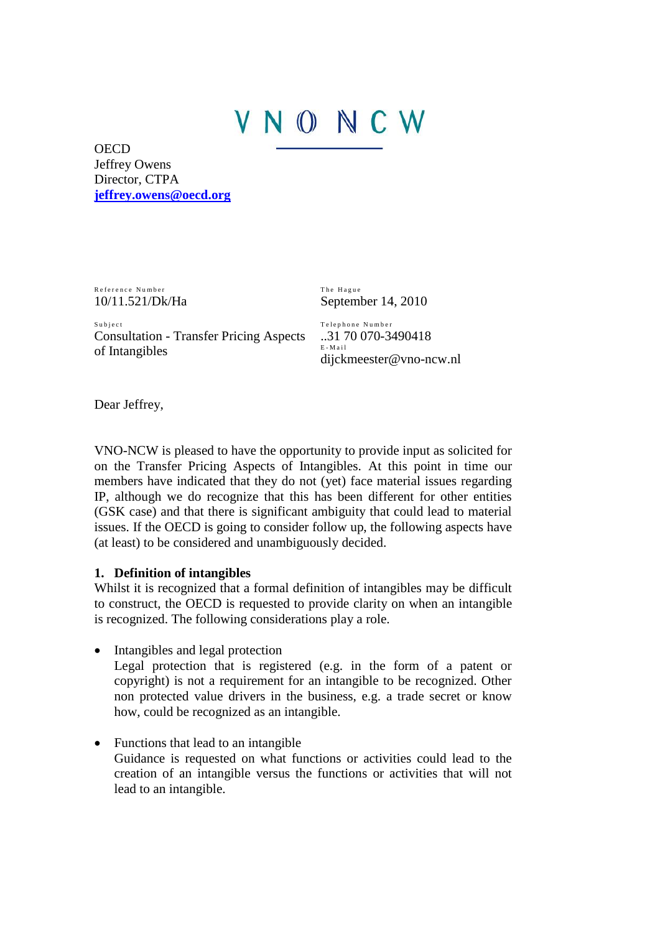# NONCW

**OECD** Jeffrey Owens Director, CTPA **[jeffrey.owens@oecd.org](mailto:jeffrey.owens@oecd.org)**

Reference Number 10/11.521/Dk/Ha The Hague September 14, 2010

Subject Consultation - Transfer Pricing Aspects of Intangibles

Telephone Number ..31 70 070-3490418 E - M a i l dijckmeester@vno-ncw.nl

Dear Jeffrey,

VNO-NCW is pleased to have the opportunity to provide input as solicited for on the Transfer Pricing Aspects of Intangibles. At this point in time our members have indicated that they do not (yet) face material issues regarding IP, although we do recognize that this has been different for other entities (GSK case) and that there is significant ambiguity that could lead to material issues. If the OECD is going to consider follow up, the following aspects have (at least) to be considered and unambiguously decided.

### **1. Definition of intangibles**

Whilst it is recognized that a formal definition of intangibles may be difficult to construct, the OECD is requested to provide clarity on when an intangible is recognized. The following considerations play a role.

- Intangibles and legal protection Legal protection that is registered (e.g. in the form of a patent or copyright) is not a requirement for an intangible to be recognized. Other non protected value drivers in the business, e.g. a trade secret or know how, could be recognized as an intangible.
- Functions that lead to an intangible Guidance is requested on what functions or activities could lead to the creation of an intangible versus the functions or activities that will not lead to an intangible.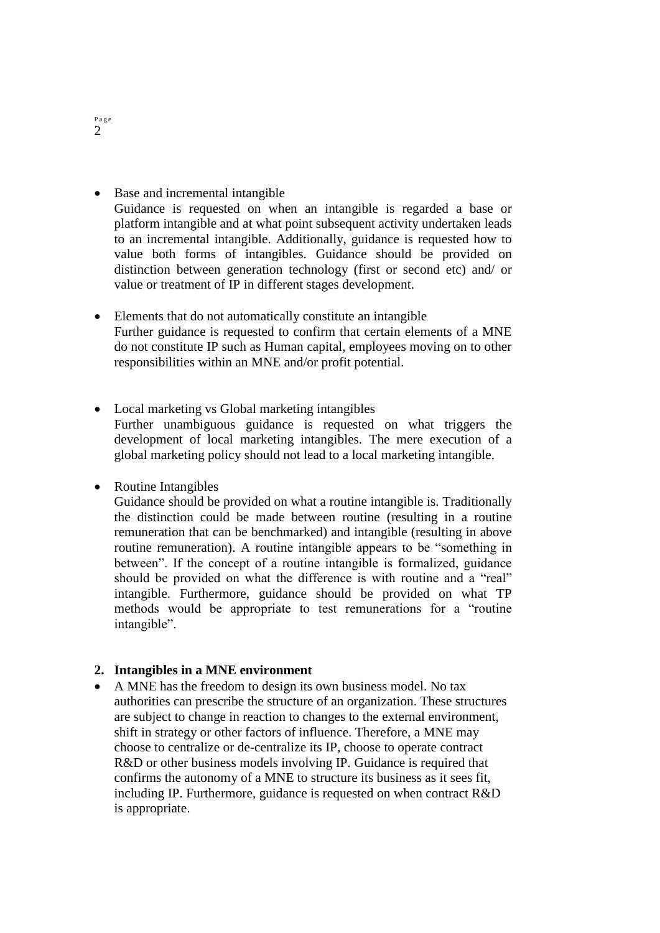• Base and incremental intangible

Guidance is requested on when an intangible is regarded a base or platform intangible and at what point subsequent activity undertaken leads to an incremental intangible. Additionally, guidance is requested how to value both forms of intangibles. Guidance should be provided on distinction between generation technology (first or second etc) and/ or value or treatment of IP in different stages development.

- Elements that do not automatically constitute an intangible Further guidance is requested to confirm that certain elements of a MNE do not constitute IP such as Human capital, employees moving on to other responsibilities within an MNE and/or profit potential.
- Local marketing vs Global marketing intangibles Further unambiguous guidance is requested on what triggers the development of local marketing intangibles. The mere execution of a global marketing policy should not lead to a local marketing intangible.

• Routine Intangibles

Guidance should be provided on what a routine intangible is. Traditionally the distinction could be made between routine (resulting in a routine remuneration that can be benchmarked) and intangible (resulting in above routine remuneration). A routine intangible appears to be "something in between". If the concept of a routine intangible is formalized, guidance should be provided on what the difference is with routine and a "real" intangible. Furthermore, guidance should be provided on what TP methods would be appropriate to test remunerations for a "routine intangible".

### **2. Intangibles in a MNE environment**

 A MNE has the freedom to design its own business model. No tax authorities can prescribe the structure of an organization. These structures are subject to change in reaction to changes to the external environment, shift in strategy or other factors of influence. Therefore, a MNE may choose to centralize or de-centralize its IP, choose to operate contract R&D or other business models involving IP. Guidance is required that confirms the autonomy of a MNE to structure its business as it sees fit, including IP. Furthermore, guidance is requested on when contract R&D is appropriate.

P a g e 2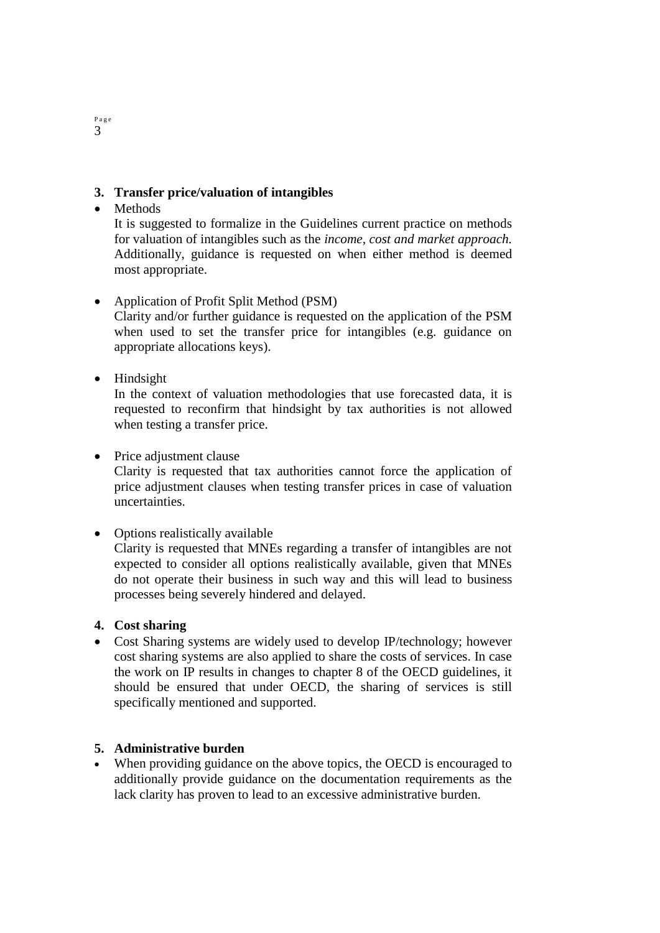# **3. Transfer price/valuation of intangibles**

# • Methods

It is suggested to formalize in the Guidelines current practice on methods for valuation of intangibles such as the *income, cost and market approach.*  Additionally, guidance is requested on when either method is deemed most appropriate.

# Application of Profit Split Method (PSM)

Clarity and/or further guidance is requested on the application of the PSM when used to set the transfer price for intangibles (e.g. guidance on appropriate allocations keys).

• Hindsight

In the context of valuation methodologies that use forecasted data, it is requested to reconfirm that hindsight by tax authorities is not allowed when testing a transfer price.

# • Price adjustment clause

Clarity is requested that tax authorities cannot force the application of price adjustment clauses when testing transfer prices in case of valuation uncertainties.

### • Options realistically available

Clarity is requested that MNEs regarding a transfer of intangibles are not expected to consider all options realistically available, given that MNEs do not operate their business in such way and this will lead to business processes being severely hindered and delayed.

### **4. Cost sharing**

• Cost Sharing systems are widely used to develop IP/technology; however cost sharing systems are also applied to share the costs of services. In case the work on IP results in changes to chapter 8 of the OECD guidelines, it should be ensured that under OECD, the sharing of services is still specifically mentioned and supported.

## **5. Administrative burden**

 When providing guidance on the above topics, the OECD is encouraged to additionally provide guidance on the documentation requirements as the lack clarity has proven to lead to an excessive administrative burden.

#### P a g e 3